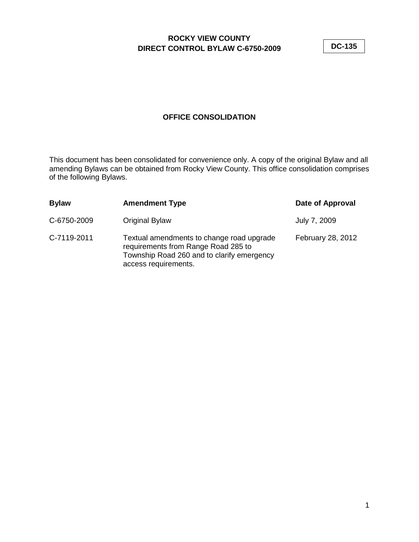**DC-135**

## **OFFICE CONSOLIDATION**

This document has been consolidated for convenience only. A copy of the original Bylaw and all amending Bylaws can be obtained from Rocky View County. This office consolidation comprises of the following Bylaws.

| <b>Bylaw</b> | <b>Amendment Type</b>                                                                                                                                  | Date of Approval  |
|--------------|--------------------------------------------------------------------------------------------------------------------------------------------------------|-------------------|
| C-6750-2009  | Original Bylaw                                                                                                                                         | July 7, 2009      |
| C-7119-2011  | Textual amendments to change road upgrade<br>requirements from Range Road 285 to<br>Township Road 260 and to clarify emergency<br>access requirements. | February 28, 2012 |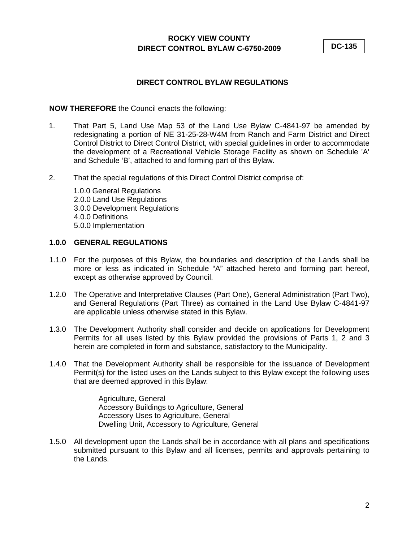**DC-135**

## **DIRECT CONTROL BYLAW REGULATIONS**

## **NOW THEREFORE** the Council enacts the following:

- 1. That Part 5, Land Use Map 53 of the Land Use Bylaw C-4841-97 be amended by redesignating a portion of NE 31-25-28-W4M from Ranch and Farm District and Direct Control District to Direct Control District, with special guidelines in order to accommodate the development of a Recreational Vehicle Storage Facility as shown on Schedule 'A' and Schedule 'B', attached to and forming part of this Bylaw.
- 2. That the special regulations of this Direct Control District comprise of:
	- 1.0.0 General Regulations 2.0.0 Land Use Regulations 3.0.0 Development Regulations 4.0.0 Definitions 5.0.0 Implementation

## **1.0.0 GENERAL REGULATIONS**

- 1.1.0 For the purposes of this Bylaw, the boundaries and description of the Lands shall be more or less as indicated in Schedule "A" attached hereto and forming part hereof, except as otherwise approved by Council.
- 1.2.0 The Operative and Interpretative Clauses (Part One), General Administration (Part Two), and General Regulations (Part Three) as contained in the Land Use Bylaw C-4841-97 are applicable unless otherwise stated in this Bylaw.
- 1.3.0 The Development Authority shall consider and decide on applications for Development Permits for all uses listed by this Bylaw provided the provisions of Parts 1, 2 and 3 herein are completed in form and substance, satisfactory to the Municipality.
- 1.4.0 That the Development Authority shall be responsible for the issuance of Development Permit(s) for the listed uses on the Lands subject to this Bylaw except the following uses that are deemed approved in this Bylaw:

Agriculture, General Accessory Buildings to Agriculture, General Accessory Uses to Agriculture, General Dwelling Unit, Accessory to Agriculture, General

1.5.0 All development upon the Lands shall be in accordance with all plans and specifications submitted pursuant to this Bylaw and all licenses, permits and approvals pertaining to the Lands.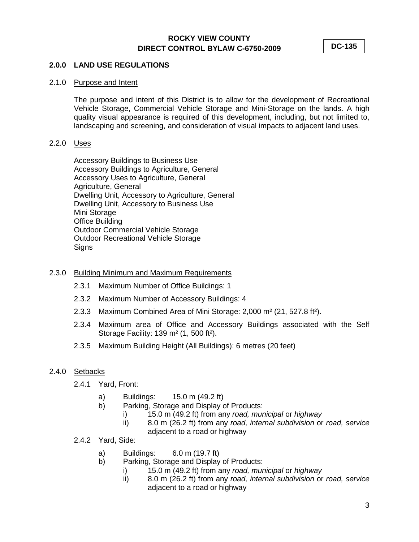**DC-135**

## **2.0.0 LAND USE REGULATIONS**

## 2.1.0 Purpose and Intent

The purpose and intent of this District is to allow for the development of Recreational Vehicle Storage, Commercial Vehicle Storage and Mini-Storage on the lands. A high quality visual appearance is required of this development, including, but not limited to, landscaping and screening, and consideration of visual impacts to adjacent land uses.

## 2.2.0 Uses

Accessory Buildings to Business Use Accessory Buildings to Agriculture, General Accessory Uses to Agriculture, General Agriculture, General Dwelling Unit, Accessory to Agriculture, General Dwelling Unit, Accessory to Business Use Mini Storage Office Building Outdoor Commercial Vehicle Storage Outdoor Recreational Vehicle Storage Signs

## 2.3.0 Building Minimum and Maximum Requirements

- 2.3.1 Maximum Number of Office Buildings: 1
- 2.3.2 Maximum Number of Accessory Buildings: 4
- 2.3.3 Maximum Combined Area of Mini Storage: 2,000 m² (21, 527.8 ft²).
- 2.3.4 Maximum area of Office and Accessory Buildings associated with the Self Storage Facility: 139 m² (1, 500 ft²).
- 2.3.5 Maximum Building Height (All Buildings): 6 metres (20 feet)

## 2.4.0 Setbacks

- 2.4.1 Yard, Front:
	- a) Buildings: 15.0 m (49.2 ft)
	- b) Parking, Storage and Display of Products:
		- i) 15.0 m (49.2 ft) from any *road, municipal* or *highway*
		- ii) 8.0 m (26.2 ft) from any *road, internal subdivision* or *road, service* adjacent to a road or highway
- 2.4.2 Yard, Side:
	- a) Buildings: 6.0 m (19.7 ft)
	- b) Parking, Storage and Display of Products:
		- i) 15.0 m (49.2 ft) from any *road, municipal* or *highway*
		- ii) 8.0 m (26.2 ft) from any *road, internal subdivision* or *road, service* adjacent to a road or highway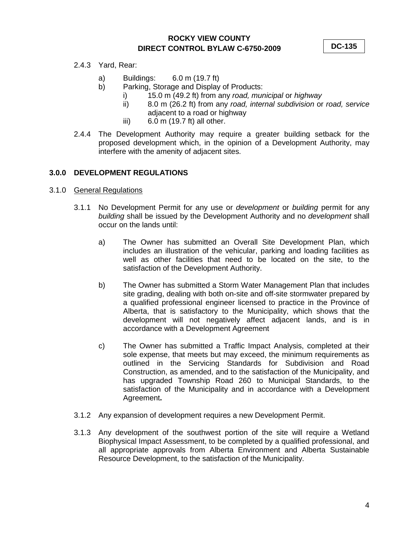**DC-135**

- 2.4.3 Yard, Rear:
	- a) Buildings: 6.0 m (19.7 ft)
	- b) Parking, Storage and Display of Products:
		- i) 15.0 m (49.2 ft) from any *road, municipal* or *highway*
		- ii) 8.0 m (26.2 ft) from any *road, internal subdivision* or *road, service* adjacent to a road or highway
		- iii) 6.0 m (19.7 ft) all other.
- 2.4.4 The Development Authority may require a greater building setback for the proposed development which, in the opinion of a Development Authority, may interfere with the amenity of adjacent sites.

## **3.0.0 DEVELOPMENT REGULATIONS**

- 3.1.0 General Regulations
	- 3.1.1 No Development Permit for any use or *development* or *building* permit for any *building* shall be issued by the Development Authority and no *development* shall occur on the lands until:
		- a) The Owner has submitted an Overall Site Development Plan, which includes an illustration of the vehicular, parking and loading facilities as well as other facilities that need to be located on the site, to the satisfaction of the Development Authority.
		- b) The Owner has submitted a Storm Water Management Plan that includes site grading, dealing with both on-site and off-site stormwater prepared by a qualified professional engineer licensed to practice in the Province of Alberta, that is satisfactory to the Municipality, which shows that the development will not negatively affect adjacent lands, and is in accordance with a Development Agreement
		- c) The Owner has submitted a Traffic Impact Analysis, completed at their sole expense, that meets but may exceed, the minimum requirements as outlined in the Servicing Standards for Subdivision and Road Construction, as amended, and to the satisfaction of the Municipality, and has upgraded Township Road 260 to Municipal Standards, to the satisfaction of the Municipality and in accordance with a Development Agreement**.**
	- 3.1.2 Any expansion of development requires a new Development Permit.
	- 3.1.3 Any development of the southwest portion of the site will require a Wetland Biophysical Impact Assessment, to be completed by a qualified professional, and all appropriate approvals from Alberta Environment and Alberta Sustainable Resource Development, to the satisfaction of the Municipality.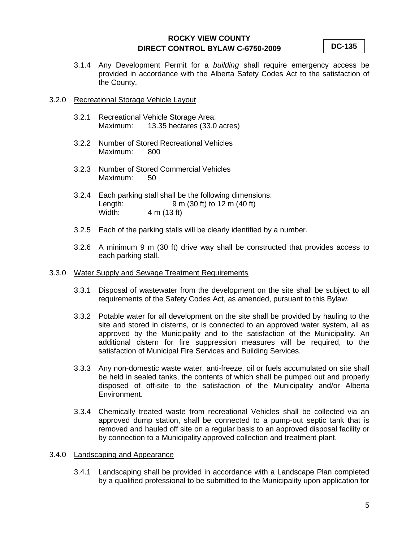**DC-135**

3.1.4 Any Development Permit for a *building* shall require emergency access be provided in accordance with the Alberta Safety Codes Act to the satisfaction of the County.

#### 3.2.0 Recreational Storage Vehicle Layout

- 3.2.1 Recreational Vehicle Storage Area: 13.35 hectares (33.0 acres)
- 3.2.2 Number of Stored Recreational Vehicles Maximum: 800
- 3.2.3 Number of Stored Commercial Vehicles Maximum: 50
- 3.2.4 Each parking stall shall be the following dimensions: Length: 9 m (30 ft) to 12 m (40 ft)<br>Width: 4 m (13 ft) 4 m (13 ft)
- 3.2.5 Each of the parking stalls will be clearly identified by a number.
- 3.2.6 A minimum 9 m (30 ft) drive way shall be constructed that provides access to each parking stall.

#### 3.3.0 Water Supply and Sewage Treatment Requirements

- 3.3.1 Disposal of wastewater from the development on the site shall be subject to all requirements of the Safety Codes Act, as amended, pursuant to this Bylaw.
- 3.3.2 Potable water for all development on the site shall be provided by hauling to the site and stored in cisterns, or is connected to an approved water system, all as approved by the Municipality and to the satisfaction of the Municipality. An additional cistern for fire suppression measures will be required, to the satisfaction of Municipal Fire Services and Building Services.
- 3.3.3 Any non-domestic waste water, anti-freeze, oil or fuels accumulated on site shall be held in sealed tanks, the contents of which shall be pumped out and properly disposed of off-site to the satisfaction of the Municipality and/or Alberta Environment.
- 3.3.4 Chemically treated waste from recreational Vehicles shall be collected via an approved dump station, shall be connected to a pump-out septic tank that is removed and hauled off site on a regular basis to an approved disposal facility or by connection to a Municipality approved collection and treatment plant.

## 3.4.0 Landscaping and Appearance

3.4.1 Landscaping shall be provided in accordance with a Landscape Plan completed by a qualified professional to be submitted to the Municipality upon application for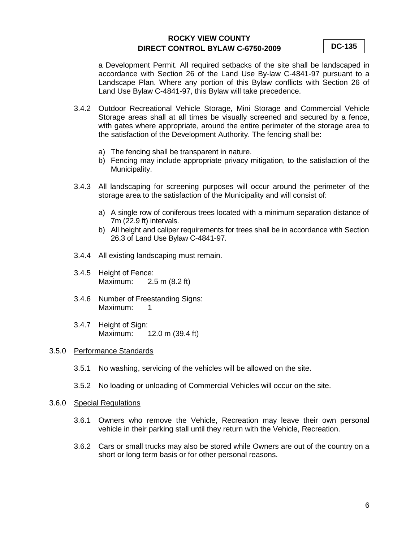**DC-135**

a Development Permit. All required setbacks of the site shall be landscaped in accordance with Section 26 of the Land Use By-law C-4841-97 pursuant to a Landscape Plan. Where any portion of this Bylaw conflicts with Section 26 of Land Use Bylaw C-4841-97, this Bylaw will take precedence.

- 3.4.2 Outdoor Recreational Vehicle Storage, Mini Storage and Commercial Vehicle Storage areas shall at all times be visually screened and secured by a fence, with gates where appropriate, around the entire perimeter of the storage area to the satisfaction of the Development Authority. The fencing shall be:
	- a) The fencing shall be transparent in nature.
	- b) Fencing may include appropriate privacy mitigation, to the satisfaction of the Municipality.
- 3.4.3 All landscaping for screening purposes will occur around the perimeter of the storage area to the satisfaction of the Municipality and will consist of:
	- a) A single row of coniferous trees located with a minimum separation distance of 7m (22.9 ft) intervals.
	- b) All height and caliper requirements for trees shall be in accordance with Section 26.3 of Land Use Bylaw C-4841-97.
- 3.4.4 All existing landscaping must remain.
- 3.4.5 Height of Fence: Maximum: 2.5 m (8.2 ft)
- 3.4.6 Number of Freestanding Signs: Maximum: 1
- 3.4.7 Height of Sign: Maximum: 12.0 m (39.4 ft)

#### 3.5.0 Performance Standards

- 3.5.1 No washing, servicing of the vehicles will be allowed on the site.
- 3.5.2 No loading or unloading of Commercial Vehicles will occur on the site.

#### 3.6.0 Special Regulations

- 3.6.1 Owners who remove the Vehicle, Recreation may leave their own personal vehicle in their parking stall until they return with the Vehicle, Recreation.
- 3.6.2 Cars or small trucks may also be stored while Owners are out of the country on a short or long term basis or for other personal reasons.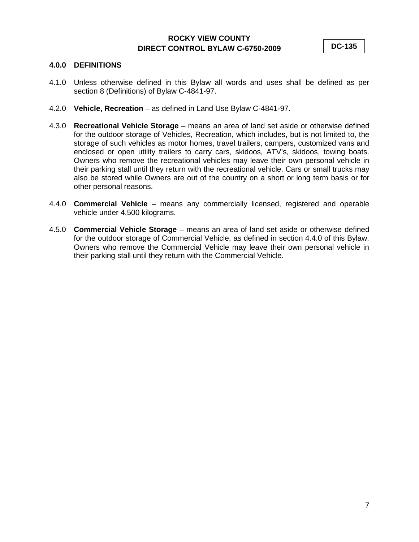**DC-135**

## **4.0.0 DEFINITIONS**

- 4.1.0 Unless otherwise defined in this Bylaw all words and uses shall be defined as per section 8 (Definitions) of Bylaw C-4841-97.
- 4.2.0 **Vehicle, Recreation** as defined in Land Use Bylaw C-4841-97.
- 4.3.0 **Recreational Vehicle Storage** means an area of land set aside or otherwise defined for the outdoor storage of Vehicles, Recreation, which includes, but is not limited to, the storage of such vehicles as motor homes, travel trailers, campers, customized vans and enclosed or open utility trailers to carry cars, skidoos, ATV's, skidoos, towing boats. Owners who remove the recreational vehicles may leave their own personal vehicle in their parking stall until they return with the recreational vehicle. Cars or small trucks may also be stored while Owners are out of the country on a short or long term basis or for other personal reasons.
- 4.4.0 **Commercial Vehicle** means any commercially licensed, registered and operable vehicle under 4,500 kilograms.
- 4.5.0 **Commercial Vehicle Storage** means an area of land set aside or otherwise defined for the outdoor storage of Commercial Vehicle, as defined in section 4.4.0 of this Bylaw. Owners who remove the Commercial Vehicle may leave their own personal vehicle in their parking stall until they return with the Commercial Vehicle.